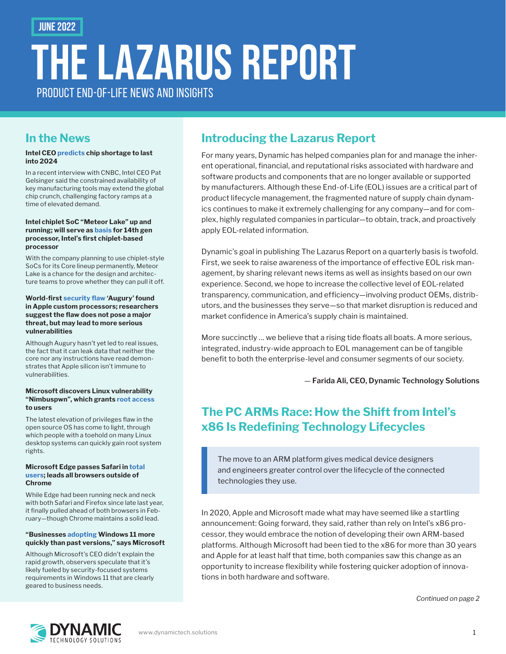June 2022

# the Lazarus Report PRODUCT FND-OF-LIFF NEWS AND INSIGHTS

## **In the News**

#### **Intel CEO [predicts](https://www.cnbc.com/2022/04/29/semiconductor-shortage-intel-ceo-says-chip-crunch-to-last-into-2024.html) chip shortage to last into 2024**

In a recent interview with CNBC, Intel CEO Pat Gelsinger said the constrained availability of key manufacturing tools may extend the global chip crunch, challenging factory ramps at a time of elevated demand.

#### **Intel chiplet SoC "Meteor Lake" up and running; will serve as [basis](https://www.anandtech.com/show/17366/intel-meteor-lake-client-soc-up-and-running) for 14th gen processor, Intel's first chiplet-based processor**

With the company planning to use chiplet-style SoCs for its Core lineup permanently, Meteor Lake is a chance for the design and architecture teams to prove whether they can pull it off.

#### **World-first [security flaw](https://www.techspot.com/news/94452-augury-vulnerability-discovered-apple-silicon-mobile-chips.html) 'Augury' found in Apple custom processors; researchers suggest the flaw does not pose a major threat, but may lead to more serious vulnerabilities**

Although Augury hasn't yet led to real issues, the fact that it can leak data that neither the core nor any instructions have read demonstrates that Apple silicon isn't immune to vulnerabilities.

#### **Microsoft discovers Linux vulnerability "Nimbuspwn", which grants [root access](https://arstechnica.com/information-technology/2022/04/microsoft-finds-linux-desktop-flaw-that-gives-root-to-untrusted-users/) to users**

The latest elevation of privileges flaw in the open source OS has come to light, through which people with a toehold on many Linux desktop systems can quickly gain root system rights.

#### **Microsoft Edge passes Safari in [total](https://gs.statcounter.com/browser-market-share/desktop/worldwide/#monthly-202103-202204)  [users](https://gs.statcounter.com/browser-market-share/desktop/worldwide/#monthly-202103-202204); leads all browsers outside of Chrome**

While Edge had been running neck and neck with both Safari and Firefox since late last year, it finally pulled ahead of both browsers in February—though Chrome maintains a solid lead.

#### **"Businesses [adopting](https://arstechnica.com/gadgets/2022/04/businesses-are-adopting-windows-11-more-quickly-than-past-versions-says-microsoft/) Windows 11 more quickly than past versions," says Microsoft**

Although Microsoft's CEO didn't explain the rapid growth, observers speculate that it's likely fueled by security-focused systems requirements in Windows 11 that are clearly geared to business needs.

## **Introducing the Lazarus Report**

For many years, Dynamic has helped companies plan for and manage the inherent operational, financial, and reputational risks associated with hardware and software products and components that are no longer available or supported by manufacturers. Although these End-of-Life (EOL) issues are a critical part of product lifecycle management, the fragmented nature of supply chain dynamics continues to make it extremely challenging for any company—and for complex, highly regulated companies in particular—to obtain, track, and proactively apply EOL-related information.

Dynamic's goal in publishing The Lazarus Report on a quarterly basis is twofold. First, we seek to raise awareness of the importance of effective EOL risk management, by sharing relevant news items as well as insights based on our own experience. Second, we hope to increase the collective level of EOL-related transparency, communication, and efficiency—involving product OEMs, distributors, and the businesses they serve—so that market disruption is reduced and market confidence in America's supply chain is maintained.

More succinctly … we believe that a rising tide floats all boats. A more serious, integrated, industry-wide approach to EOL management can be of tangible benefit to both the enterprise-level and consumer segments of our society.

— Farida Ali, CEO, Dynamic Technology Solutions

## **The PC ARMs Race: How the Shift from Intel's x86 Is Redefining Technology Lifecycles**

The move to an ARM platform gives medical device designers and engineers greater control over the lifecycle of the connected technologies they use.

In 2020, Apple and Microsoft made what may have seemed like a startling announcement: Going forward, they said, rather than rely on Intel's x86 processor, they would embrace the notion of developing their own ARM-based platforms. Although Microsoft had been tied to the x86 for more than 30 years and Apple for at least half that time, both companies saw this change as an opportunity to increase flexibility while fostering quicker adoption of innovations in both hardware and software.

*Continued on page 2*